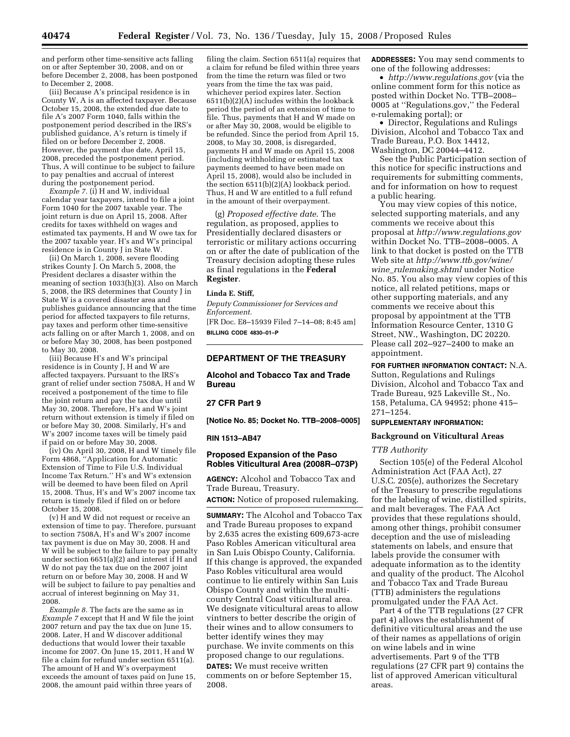and perform other time-sensitive acts falling on or after September 30, 2008, and on or before December 2, 2008, has been postponed to December 2, 2008.

(iii) Because A's principal residence is in County W, A is an affected taxpayer. Because October 15, 2008, the extended due date to file A's 2007 Form 1040, falls within the postponement period described in the IRS's published guidance, A's return is timely if filed on or before December 2, 2008. However, the payment due date, April 15, 2008, preceded the postponement period. Thus, A will continue to be subject to failure to pay penalties and accrual of interest during the postponement period.

*Example 7.* (i) H and W, individual calendar year taxpayers, intend to file a joint Form 1040 for the 2007 taxable year. The joint return is due on April 15, 2008. After credits for taxes withheld on wages and estimated tax payments, H and W owe tax for the 2007 taxable year. H's and W's principal residence is in County J in State W.

(ii) On March 1, 2008, severe flooding strikes County J. On March 5, 2008, the President declares a disaster within the meaning of section 1033(h)(3). Also on March 5, 2008, the IRS determines that County J in State W is a covered disaster area and publishes guidance announcing that the time period for affected taxpayers to file returns, pay taxes and perform other time-sensitive acts falling on or after March 1, 2008, and on or before May 30, 2008, has been postponed to May 30, 2008.

(iii) Because H's and W's principal residence is in County J, H and W are affected taxpayers. Pursuant to the IRS's grant of relief under section 7508A, H and W received a postponement of the time to file the joint return and pay the tax due until May 30, 2008. Therefore, H's and W's joint return without extension is timely if filed on or before May 30, 2008. Similarly, H's and W's 2007 income taxes will be timely paid if paid on or before May 30, 2008.

(iv) On April 30, 2008, H and W timely file Form 4868, ''Application for Automatic Extension of Time to File U.S. Individual Income Tax Return.'' H's and W's extension will be deemed to have been filed on April 15, 2008. Thus, H's and W's 2007 income tax return is timely filed if filed on or before October 15, 2008.

(v) H and W did not request or receive an extension of time to pay. Therefore, pursuant to section 7508A, H's and W's 2007 income tax payment is due on May 30, 2008. H and W will be subject to the failure to pay penalty under section 6651(a)(2) and interest if H and W do not pay the tax due on the 2007 joint return on or before May 30, 2008. H and W will be subject to failure to pay penalties and accrual of interest beginning on May 31, 2008.

*Example 8.* The facts are the same as in *Example 7* except that H and W file the joint 2007 return and pay the tax due on June 15, 2008. Later, H and W discover additional deductions that would lower their taxable income for 2007. On June 15, 2011, H and W file a claim for refund under section 6511(a). The amount of H and W's overpayment exceeds the amount of taxes paid on June 15, 2008, the amount paid within three years of

filing the claim. Section 6511(a) requires that a claim for refund be filed within three years from the time the return was filed or two years from the time the tax was paid, whichever period expires later. Section  $6511(b)(2)(A)$  includes within the lookback period the period of an extension of time to file. Thus, payments that H and W made on or after May 30, 2008, would be eligible to be refunded. Since the period from April 15, 2008, to May 30, 2008, is disregarded, payments H and W made on April 15, 2008 (including withholding or estimated tax payments deemed to have been made on April 15, 2008), would also be included in the section 6511(b)(2)(A) lookback period. Thus, H and W are entitled to a full refund in the amount of their overpayment.

(g) *Proposed effective date*. The regulation, as proposed, applies to Presidentially declared disasters or terroristic or military actions occurring on or after the date of publication of the Treasury decision adopting these rules as final regulations in the **Federal Register**.

#### **Linda E. Stiff,**

*Deputy Commissioner for Services and Enforcement.*  [FR Doc. E8–15939 Filed 7–14–08; 8:45 am] **BILLING CODE 4830–01–P** 

### **DEPARTMENT OF THE TREASURY**

**Alcohol and Tobacco Tax and Trade Bureau** 

### **27 CFR Part 9**

**[Notice No. 85; Docket No. TTB–2008–0005]** 

#### **RIN 1513–AB47**

## **Proposed Expansion of the Paso Robles Viticultural Area (2008R–073P)**

**AGENCY:** Alcohol and Tobacco Tax and Trade Bureau, Treasury.

**ACTION:** Notice of proposed rulemaking.

**SUMMARY:** The Alcohol and Tobacco Tax and Trade Bureau proposes to expand by 2,635 acres the existing 609,673-acre Paso Robles American viticultural area in San Luis Obispo County, California. If this change is approved, the expanded Paso Robles viticultural area would continue to lie entirely within San Luis Obispo County and within the multicounty Central Coast viticultural area. We designate viticultural areas to allow vintners to better describe the origin of their wines and to allow consumers to better identify wines they may purchase. We invite comments on this proposed change to our regulations.

**DATES:** We must receive written comments on or before September 15, 2008.

**ADDRESSES:** You may send comments to one of the following addresses:

• *<http://www.regulations.gov>*(via the online comment form for this notice as posted within Docket No. TTB–2008– 0005 at ''Regulations.gov,'' the Federal e-rulemaking portal); or

• Director, Regulations and Rulings Division, Alcohol and Tobacco Tax and Trade Bureau, P.O. Box 14412, Washington, DC 20044–4412.

See the Public Participation section of this notice for specific instructions and requirements for submitting comments, and for information on how to request a public hearing.

You may view copies of this notice, selected supporting materials, and any comments we receive about this proposal at *<http://www.regulations.gov>* within Docket No. TTB–2008–0005. A link to that docket is posted on the TTB Web site at *[http://www.ttb.gov/wine/](http://www.ttb.gov/wine/wine_rulemaking.shtml)  wine*\_*rulemaking.shtml* under Notice No. 85. You also may view copies of this notice, all related petitions, maps or other supporting materials, and any comments we receive about this proposal by appointment at the TTB Information Resource Center, 1310 G Street, NW., Washington, DC 20220. Please call 202–927–2400 to make an appointment.

# **FOR FURTHER INFORMATION CONTACT:** N.A.

Sutton, Regulations and Rulings Division, Alcohol and Tobacco Tax and Trade Bureau, 925 Lakeville St., No. 158, Petaluma, CA 94952; phone 415– 271–1254.

## **SUPPLEMENTARY INFORMATION:**

#### **Background on Viticultural Areas**

#### *TTB Authority*

Section 105(e) of the Federal Alcohol Administration Act (FAA Act), 27 U.S.C. 205(e), authorizes the Secretary of the Treasury to prescribe regulations for the labeling of wine, distilled spirits, and malt beverages. The FAA Act provides that these regulations should, among other things, prohibit consumer deception and the use of misleading statements on labels, and ensure that labels provide the consumer with adequate information as to the identity and quality of the product. The Alcohol and Tobacco Tax and Trade Bureau (TTB) administers the regulations promulgated under the FAA Act.

Part 4 of the TTB regulations (27 CFR part 4) allows the establishment of definitive viticultural areas and the use of their names as appellations of origin on wine labels and in wine advertisements. Part 9 of the TTB regulations (27 CFR part 9) contains the list of approved American viticultural areas.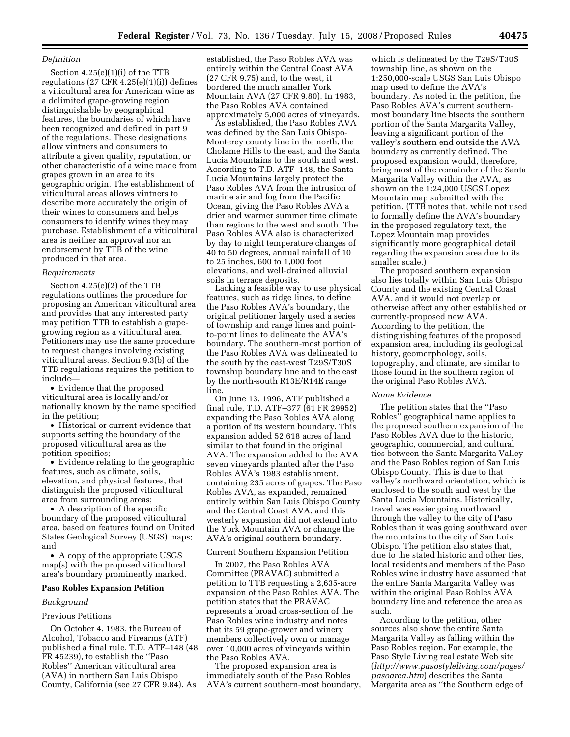### *Definition*

Section 4.25(e)(1)(i) of the TTB regulations (27 CFR 4.25(e)(1)(i)) defines a viticultural area for American wine as a delimited grape-growing region distinguishable by geographical features, the boundaries of which have been recognized and defined in part 9 of the regulations. These designations allow vintners and consumers to attribute a given quality, reputation, or other characteristic of a wine made from grapes grown in an area to its geographic origin. The establishment of viticultural areas allows vintners to describe more accurately the origin of their wines to consumers and helps consumers to identify wines they may purchase. Establishment of a viticultural area is neither an approval nor an endorsement by TTB of the wine produced in that area.

#### *Requirements*

Section 4.25(e)(2) of the TTB regulations outlines the procedure for proposing an American viticultural area and provides that any interested party may petition TTB to establish a grapegrowing region as a viticultural area. Petitioners may use the same procedure to request changes involving existing viticultural areas. Section 9.3(b) of the TTB regulations requires the petition to include—

• Evidence that the proposed viticultural area is locally and/or nationally known by the name specified in the petition;

• Historical or current evidence that supports setting the boundary of the proposed viticultural area as the petition specifies;

• Evidence relating to the geographic features, such as climate, soils, elevation, and physical features, that distinguish the proposed viticultural area from surrounding areas;

• A description of the specific boundary of the proposed viticultural area, based on features found on United States Geological Survey (USGS) maps; and

• A copy of the appropriate USGS map(s) with the proposed viticultural area's boundary prominently marked.

#### **Paso Robles Expansion Petition**

#### *Background*

#### Previous Petitions

On October 4, 1983, the Bureau of Alcohol, Tobacco and Firearms (ATF) published a final rule, T.D. ATF–148 (48 FR 45239), to establish the ''Paso Robles'' American viticultural area (AVA) in northern San Luis Obispo County, California (see 27 CFR 9.84). As

established, the Paso Robles AVA was entirely within the Central Coast AVA (27 CFR 9.75) and, to the west, it bordered the much smaller York Mountain AVA (27 CFR 9.80). In 1983, the Paso Robles AVA contained approximately 5,000 acres of vineyards.

As established, the Paso Robles AVA was defined by the San Luis Obispo-Monterey county line in the north, the Cholame Hills to the east, and the Santa Lucia Mountains to the south and west. According to T.D. ATF–148, the Santa Lucia Mountains largely protect the Paso Robles AVA from the intrusion of marine air and fog from the Pacific Ocean, giving the Paso Robles AVA a drier and warmer summer time climate than regions to the west and south. The Paso Robles AVA also is characterized by day to night temperature changes of 40 to 50 degrees, annual rainfall of 10 to 25 inches, 600 to 1,000 foot elevations, and well-drained alluvial soils in terrace deposits.

Lacking a feasible way to use physical features, such as ridge lines, to define the Paso Robles AVA's boundary, the original petitioner largely used a series of township and range lines and pointto-point lines to delineate the AVA's boundary. The southern-most portion of the Paso Robles AVA was delineated to the south by the east-west T29S/T30S township boundary line and to the east by the north-south R13E/R14E range line.

On June 13, 1996, ATF published a final rule, T.D. ATF–377 (61 FR 29952) expanding the Paso Robles AVA along a portion of its western boundary. This expansion added 52,618 acres of land similar to that found in the original AVA. The expansion added to the AVA seven vineyards planted after the Paso Robles AVA's 1983 establishment, containing 235 acres of grapes. The Paso Robles AVA, as expanded, remained entirely within San Luis Obispo County and the Central Coast AVA, and this westerly expansion did not extend into the York Mountain AVA or change the AVA's original southern boundary.

### Current Southern Expansion Petition

In 2007, the Paso Robles AVA Committee (PRAVAC) submitted a petition to TTB requesting a 2,635-acre expansion of the Paso Robles AVA. The petition states that the PRAVAC represents a broad cross-section of the Paso Robles wine industry and notes that its 59 grape-grower and winery members collectively own or manage over 10,000 acres of vineyards within the Paso Robles AVA.

The proposed expansion area is immediately south of the Paso Robles AVA's current southern-most boundary,

which is delineated by the T29S/T30S township line, as shown on the 1:250,000-scale USGS San Luis Obispo map used to define the AVA's boundary. As noted in the petition, the Paso Robles AVA's current southernmost boundary line bisects the southern portion of the Santa Margarita Valley, leaving a significant portion of the valley's southern end outside the AVA boundary as currently defined. The proposed expansion would, therefore, bring most of the remainder of the Santa Margarita Valley within the AVA, as shown on the 1:24,000 USGS Lopez Mountain map submitted with the petition. (TTB notes that, while not used to formally define the AVA's boundary in the proposed regulatory text, the Lopez Mountain map provides significantly more geographical detail regarding the expansion area due to its smaller scale.)

The proposed southern expansion also lies totally within San Luis Obispo County and the existing Central Coast AVA, and it would not overlap or otherwise affect any other established or currently-proposed new AVA. According to the petition, the distinguishing features of the proposed expansion area, including its geological history, geomorphology, soils, topography, and climate, are similar to those found in the southern region of the original Paso Robles AVA.

#### *Name Evidence*

The petition states that the ''Paso Robles'' geographical name applies to the proposed southern expansion of the Paso Robles AVA due to the historic, geographic, commercial, and cultural ties between the Santa Margarita Valley and the Paso Robles region of San Luis Obispo County. This is due to that valley's northward orientation, which is enclosed to the south and west by the Santa Lucia Mountains. Historically, travel was easier going northward through the valley to the city of Paso Robles than it was going southward over the mountains to the city of San Luis Obispo. The petition also states that, due to the stated historic and other ties, local residents and members of the Paso Robles wine industry have assumed that the entire Santa Margarita Valley was within the original Paso Robles AVA boundary line and reference the area as such.

According to the petition, other sources also show the entire Santa Margarita Valley as falling within the Paso Robles region. For example, the Paso Style Living real estate Web site (*[http://www.pasostyleliving.com/pages/](http://www.pasostyleliving.com/pages/pasoarea.htm)  pasoarea.htm*) describes the Santa Margarita area as ''the Southern edge of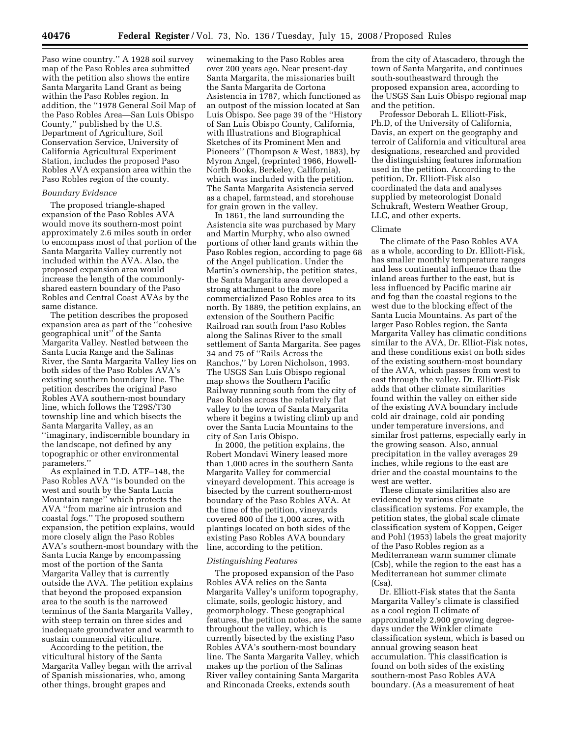Paso wine country.'' A 1928 soil survey map of the Paso Robles area submitted with the petition also shows the entire Santa Margarita Land Grant as being within the Paso Robles region. In addition, the ''1978 General Soil Map of the Paso Robles Area—San Luis Obispo County,'' published by the U.S. Department of Agriculture, Soil Conservation Service, University of California Agricultural Experiment Station, includes the proposed Paso Robles AVA expansion area within the Paso Robles region of the county.

### *Boundary Evidence*

The proposed triangle-shaped expansion of the Paso Robles AVA would move its southern-most point approximately 2.6 miles south in order to encompass most of that portion of the Santa Margarita Valley currently not included within the AVA. Also, the proposed expansion area would increase the length of the commonlyshared eastern boundary of the Paso Robles and Central Coast AVAs by the same distance.

The petition describes the proposed expansion area as part of the ''cohesive geographical unit'' of the Santa Margarita Valley. Nestled between the Santa Lucia Range and the Salinas River, the Santa Margarita Valley lies on both sides of the Paso Robles AVA's existing southern boundary line. The petition describes the original Paso Robles AVA southern-most boundary line, which follows the T29S/T30 township line and which bisects the Santa Margarita Valley, as an ''imaginary, indiscernible boundary in the landscape, not defined by any topographic or other environmental parameters.''

As explained in T.D. ATF–148, the Paso Robles AVA ''is bounded on the west and south by the Santa Lucia Mountain range'' which protects the AVA ''from marine air intrusion and coastal fogs.'' The proposed southern expansion, the petition explains, would more closely align the Paso Robles AVA's southern-most boundary with the Santa Lucia Range by encompassing most of the portion of the Santa Margarita Valley that is currently outside the AVA. The petition explains that beyond the proposed expansion area to the south is the narrowed terminus of the Santa Margarita Valley, with steep terrain on three sides and inadequate groundwater and warmth to sustain commercial viticulture.

According to the petition, the viticultural history of the Santa Margarita Valley began with the arrival of Spanish missionaries, who, among other things, brought grapes and

winemaking to the Paso Robles area over 200 years ago. Near present-day Santa Margarita, the missionaries built the Santa Margarita de Cortona Asistencia in 1787, which functioned as an outpost of the mission located at San Luis Obispo. See page 39 of the ''History of San Luis Obispo County, California, with Illustrations and Biographical Sketches of its Prominent Men and Pioneers'' (Thompson & West, 1883), by Myron Angel, (reprinted 1966, Howell-North Books, Berkeley, California), which was included with the petition. The Santa Margarita Asistencia served as a chapel, farmstead, and storehouse for grain grown in the valley.

In 1861, the land surrounding the Asistencia site was purchased by Mary and Martin Murphy, who also owned portions of other land grants within the Paso Robles region, according to page 68 of the Angel publication. Under the Martin's ownership, the petition states, the Santa Margarita area developed a strong attachment to the more commercialized Paso Robles area to its north. By 1889, the petition explains, an extension of the Southern Pacific Railroad ran south from Paso Robles along the Salinas River to the small settlement of Santa Margarita. See pages 34 and 75 of ''Rails Across the Ranchos,'' by Loren Nicholson, 1993. The USGS San Luis Obispo regional map shows the Southern Pacific Railway running south from the city of Paso Robles across the relatively flat valley to the town of Santa Margarita where it begins a twisting climb up and over the Santa Lucia Mountains to the city of San Luis Obispo.

In 2000, the petition explains, the Robert Mondavi Winery leased more than 1,000 acres in the southern Santa Margarita Valley for commercial vineyard development. This acreage is bisected by the current southern-most boundary of the Paso Robles AVA. At the time of the petition, vineyards covered 800 of the 1,000 acres, with plantings located on both sides of the existing Paso Robles AVA boundary line, according to the petition.

#### *Distinguishing Features*

The proposed expansion of the Paso Robles AVA relies on the Santa Margarita Valley's uniform topography, climate, soils, geologic history, and geomorphology. These geographical features, the petition notes, are the same throughout the valley, which is currently bisected by the existing Paso Robles AVA's southern-most boundary line. The Santa Margarita Valley, which makes up the portion of the Salinas River valley containing Santa Margarita and Rinconada Creeks, extends south

from the city of Atascadero, through the town of Santa Margarita, and continues south-southeastward through the proposed expansion area, according to the USGS San Luis Obispo regional map and the petition.

Professor Deborah L. Elliott-Fisk, Ph.D, of the University of California, Davis, an expert on the geography and terroir of California and viticultural area designations, researched and provided the distinguishing features information used in the petition. According to the petition, Dr. Elliott-Fisk also coordinated the data and analyses supplied by meteorologist Donald Schukraft, Western Weather Group, LLC, and other experts.

### Climate

The climate of the Paso Robles AVA as a whole, according to Dr. Elliott-Fisk, has smaller monthly temperature ranges and less continental influence than the inland areas further to the east, but is less influenced by Pacific marine air and fog than the coastal regions to the west due to the blocking effect of the Santa Lucia Mountains. As part of the larger Paso Robles region, the Santa Margarita Valley has climatic conditions similar to the AVA, Dr. Elliot-Fisk notes, and these conditions exist on both sides of the existing southern-most boundary of the AVA, which passes from west to east through the valley. Dr. Elliott-Fisk adds that other climate similarities found within the valley on either side of the existing AVA boundary include cold air drainage, cold air ponding under temperature inversions, and similar frost patterns, especially early in the growing season. Also, annual precipitation in the valley averages 29 inches, while regions to the east are drier and the coastal mountains to the west are wetter.

These climate similarities also are evidenced by various climate classification systems. For example, the petition states, the global scale climate classification system of Koppen, Geiger and Pohl (1953) labels the great majority of the Paso Robles region as a Mediterranean warm summer climate (Csb), while the region to the east has a Mediterranean hot summer climate (Csa).

Dr. Elliott-Fisk states that the Santa Margarita Valley's climate is classified as a cool region II climate of approximately 2,900 growing degreedays under the Winkler climate classification system, which is based on annual growing season heat accumulation. This classification is found on both sides of the existing southern-most Paso Robles AVA boundary. (As a measurement of heat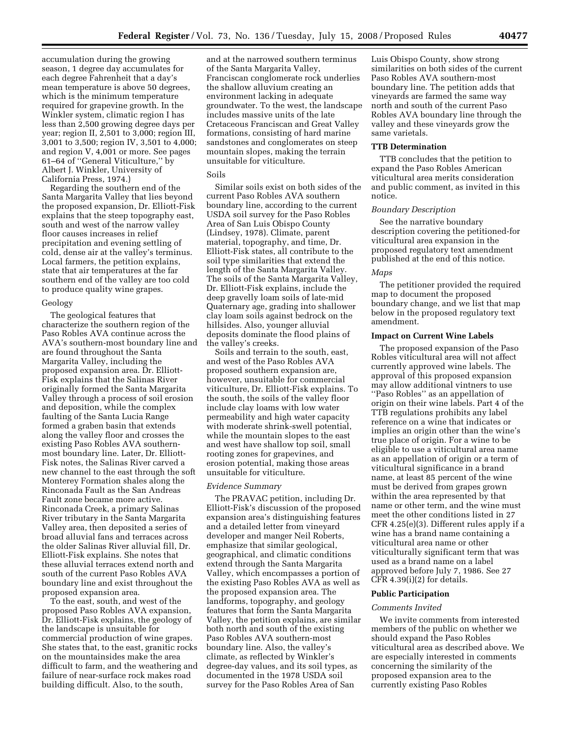accumulation during the growing season, 1 degree day accumulates for each degree Fahrenheit that a day's mean temperature is above 50 degrees, which is the minimum temperature required for grapevine growth. In the Winkler system, climatic region I has less than 2,500 growing degree days per year; region II, 2,501 to 3,000; region III, 3,001 to 3,500; region IV, 3,501 to 4,000; and region V, 4,001 or more. See pages 61–64 of ''General Viticulture,'' by Albert J. Winkler, University of California Press, 1974.)

Regarding the southern end of the Santa Margarita Valley that lies beyond the proposed expansion, Dr. Elliott-Fisk explains that the steep topography east, south and west of the narrow valley floor causes increases in relief precipitation and evening settling of cold, dense air at the valley's terminus. Local farmers, the petition explains, state that air temperatures at the far southern end of the valley are too cold to produce quality wine grapes.

### Geology

The geological features that characterize the southern region of the Paso Robles AVA continue across the AVA's southern-most boundary line and are found throughout the Santa Margarita Valley, including the proposed expansion area. Dr. Elliott-Fisk explains that the Salinas River originally formed the Santa Margarita Valley through a process of soil erosion and deposition, while the complex faulting of the Santa Lucia Range formed a graben basin that extends along the valley floor and crosses the existing Paso Robles AVA southernmost boundary line. Later, Dr. Elliott-Fisk notes, the Salinas River carved a new channel to the east through the soft Monterey Formation shales along the Rinconada Fault as the San Andreas Fault zone became more active. Rinconada Creek, a primary Salinas River tributary in the Santa Margarita Valley area, then deposited a series of broad alluvial fans and terraces across the older Salinas River alluvial fill, Dr. Elliott-Fisk explains. She notes that these alluvial terraces extend north and south of the current Paso Robles AVA boundary line and exist throughout the proposed expansion area.

To the east, south, and west of the proposed Paso Robles AVA expansion, Dr. Elliott-Fisk explains, the geology of the landscape is unsuitable for commercial production of wine grapes. She states that, to the east, granitic rocks on the mountainsides make the area difficult to farm, and the weathering and failure of near-surface rock makes road building difficult. Also, to the south,

and at the narrowed southern terminus of the Santa Margarita Valley, Franciscan conglomerate rock underlies the shallow alluvium creating an environment lacking in adequate groundwater. To the west, the landscape includes massive units of the late Cretaceous Franciscan and Great Valley formations, consisting of hard marine sandstones and conglomerates on steep mountain slopes, making the terrain unsuitable for viticulture.

### Soils

Similar soils exist on both sides of the current Paso Robles AVA southern boundary line, according to the current USDA soil survey for the Paso Robles Area of San Luis Obispo County (Lindsey, 1978). Climate, parent material, topography, and time, Dr. Elliott-Fisk states, all contribute to the soil type similarities that extend the length of the Santa Margarita Valley. The soils of the Santa Margarita Valley, Dr. Elliott-Fisk explains, include the deep gravelly loam soils of late-mid Quaternary age, grading into shallower clay loam soils against bedrock on the hillsides. Also, younger alluvial deposits dominate the flood plains of the valley's creeks.

Soils and terrain to the south, east, and west of the Paso Robles AVA proposed southern expansion are, however, unsuitable for commercial viticulture, Dr. Elliott-Fisk explains. To the south, the soils of the valley floor include clay loams with low water permeability and high water capacity with moderate shrink-swell potential, while the mountain slopes to the east and west have shallow top soil, small rooting zones for grapevines, and erosion potential, making those areas unsuitable for viticulture.

#### *Evidence Summary*

The PRAVAC petition, including Dr. Elliott-Fisk's discussion of the proposed expansion area's distinguishing features and a detailed letter from vineyard developer and manger Neil Roberts, emphasize that similar geological, geographical, and climatic conditions extend through the Santa Margarita Valley, which encompasses a portion of the existing Paso Robles AVA as well as the proposed expansion area. The landforms, topography, and geology features that form the Santa Margarita Valley, the petition explains, are similar both north and south of the existing Paso Robles AVA southern-most boundary line. Also, the valley's climate, as reflected by Winkler's degree-day values, and its soil types, as documented in the 1978 USDA soil survey for the Paso Robles Area of San

Luis Obispo County, show strong similarities on both sides of the current Paso Robles AVA southern-most boundary line. The petition adds that vineyards are farmed the same way north and south of the current Paso Robles AVA boundary line through the valley and these vineyards grow the same varietals.

## **TTB Determination**

TTB concludes that the petition to expand the Paso Robles American viticultural area merits consideration and public comment, as invited in this notice.

## *Boundary Description*

See the narrative boundary description covering the petitioned-for viticultural area expansion in the proposed regulatory text amendment published at the end of this notice.

#### *Maps*

The petitioner provided the required map to document the proposed boundary change, and we list that map below in the proposed regulatory text amendment.

### **Impact on Current Wine Labels**

The proposed expansion of the Paso Robles viticultural area will not affect currently approved wine labels. The approval of this proposed expansion may allow additional vintners to use ''Paso Robles'' as an appellation of origin on their wine labels. Part 4 of the TTB regulations prohibits any label reference on a wine that indicates or implies an origin other than the wine's true place of origin. For a wine to be eligible to use a viticultural area name as an appellation of origin or a term of viticultural significance in a brand name, at least 85 percent of the wine must be derived from grapes grown within the area represented by that name or other term, and the wine must meet the other conditions listed in 27 CFR 4.25(e)(3). Different rules apply if a wine has a brand name containing a viticultural area name or other viticulturally significant term that was used as a brand name on a label approved before July 7, 1986. See 27 CFR 4.39(i)(2) for details.

### **Public Participation**

#### *Comments Invited*

We invite comments from interested members of the public on whether we should expand the Paso Robles viticultural area as described above. We are especially interested in comments concerning the similarity of the proposed expansion area to the currently existing Paso Robles